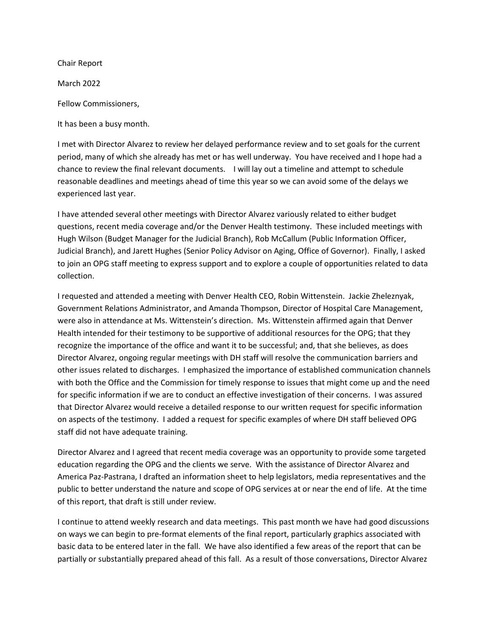Chair Report

March 2022

Fellow Commissioners,

It has been a busy month.

I met with Director Alvarez to review her delayed performance review and to set goals for the current period, many of which she already has met or has well underway. You have received and I hope had a chance to review the final relevant documents. I will lay out a timeline and attempt to schedule reasonable deadlines and meetings ahead of time this year so we can avoid some of the delays we experienced last year.

I have attended several other meetings with Director Alvarez variously related to either budget questions, recent media coverage and/or the Denver Health testimony. These included meetings with Hugh Wilson (Budget Manager for the Judicial Branch), Rob McCallum (Public Information Officer, Judicial Branch), and Jarett Hughes (Senior Policy Advisor on Aging, Office of Governor). Finally, I asked to join an OPG staff meeting to express support and to explore a couple of opportunities related to data collection.

I requested and attended a meeting with Denver Health CEO, Robin Wittenstein. Jackie Zheleznyak, Government Relations Administrator, and Amanda Thompson, Director of Hospital Care Management, were also in attendance at Ms. Wittenstein's direction. Ms. Wittenstein affirmed again that Denver Health intended for their testimony to be supportive of additional resources for the OPG; that they recognize the importance of the office and want it to be successful; and, that she believes, as does Director Alvarez, ongoing regular meetings with DH staff will resolve the communication barriers and other issues related to discharges. I emphasized the importance of established communication channels with both the Office and the Commission for timely response to issues that might come up and the need for specific information if we are to conduct an effective investigation of their concerns. I was assured that Director Alvarez would receive a detailed response to our written request for specific information on aspects of the testimony. I added a request for specific examples of where DH staff believed OPG staff did not have adequate training.

Director Alvarez and I agreed that recent media coverage was an opportunity to provide some targeted education regarding the OPG and the clients we serve. With the assistance of Director Alvarez and America Paz-Pastrana, I drafted an information sheet to help legislators, media representatives and the public to better understand the nature and scope of OPG services at or near the end of life. At the time of this report, that draft is still under review.

I continue to attend weekly research and data meetings. This past month we have had good discussions on ways we can begin to pre-format elements of the final report, particularly graphics associated with basic data to be entered later in the fall. We have also identified a few areas of the report that can be partially or substantially prepared ahead of this fall. As a result of those conversations, Director Alvarez